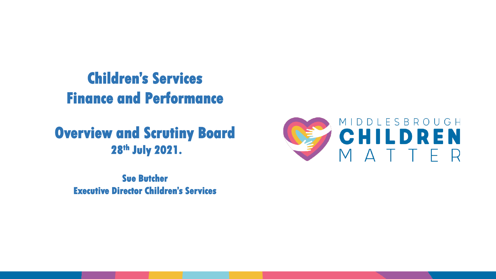# **Children's Services Finance and Performance**

## **Overview and Scrutiny Board 28th July 2021.**

**Sue Butcher Executive Director Children's Services**

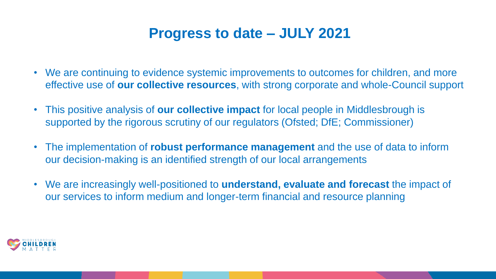### **Progress to date – JULY 2021**

- We are continuing to evidence systemic improvements to outcomes for children, and more effective use of **our collective resources**, with strong corporate and whole-Council support
- This positive analysis of **our collective impact** for local people in Middlesbrough is supported by the rigorous scrutiny of our regulators (Ofsted; DfE; Commissioner)
- The implementation of **robust performance management** and the use of data to inform our decision-making is an identified strength of our local arrangements
- We are increasingly well-positioned to **understand, evaluate and forecast** the impact of our services to inform medium and longer-term financial and resource planning

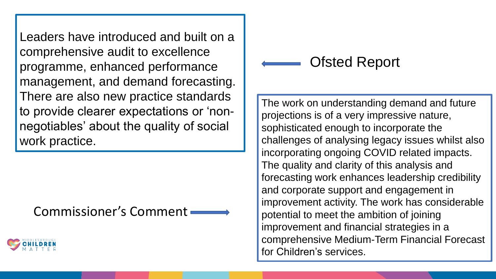Leaders have introduced and built on a comprehensive audit to excellence programme, enhanced performance management, and demand forecasting. There are also new practice standards to provide clearer expectations or 'nonnegotiables' about the quality of social work practice.

Commissioner's Comment



## Ofsted Report

The work on understanding demand and future projections is of a very impressive nature, sophisticated enough to incorporate the challenges of analysing legacy issues whilst also incorporating ongoing COVID related impacts. The quality and clarity of this analysis and forecasting work enhances leadership credibility and corporate support and engagement in improvement activity. The work has considerable potential to meet the ambition of joining improvement and financial strategies in a comprehensive Medium-Term Financial Forecast for Children's services.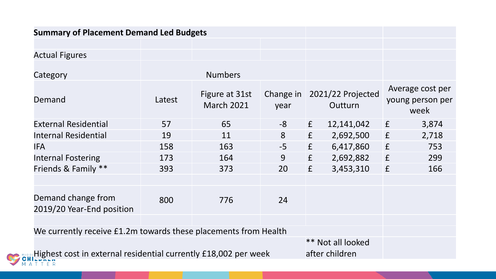| <b>Summary of Placement Demand Led Budgets</b>                  |        |                                     |      |   |                                        |             |                                              |
|-----------------------------------------------------------------|--------|-------------------------------------|------|---|----------------------------------------|-------------|----------------------------------------------|
|                                                                 |        |                                     |      |   |                                        |             |                                              |
| <b>Actual Figures</b>                                           |        |                                     |      |   |                                        |             |                                              |
| Category                                                        |        | <b>Numbers</b>                      |      |   |                                        |             |                                              |
| Demand                                                          | Latest | Figure at 31st<br><b>March 2021</b> | year |   | Change in 2021/22 Projected<br>Outturn |             | Average cost per<br>young person per<br>week |
| <b>External Residential</b>                                     | 57     | 65                                  | $-8$ | f | 12,141,042                             | f           | 3,874                                        |
| <b>Internal Residential</b>                                     | 19     | 11                                  | 8    | f | 2,692,500                              | f           | 2,718                                        |
| <b>IFA</b>                                                      | 158    | 163                                 | $-5$ | f | 6,417,860                              | $\mathbf f$ | 753                                          |
| <b>Internal Fostering</b>                                       | 173    | 164                                 | 9    | f | 2,692,882                              | $\mathbf f$ | 299                                          |
| Friends & Family **                                             | 393    | 373                                 | 20   | f | 3,453,310                              | f           | 166                                          |
|                                                                 |        |                                     |      |   |                                        |             |                                              |
| Demand change from<br>2019/20 Year-End position                 | 800    | 776                                 | 24   |   |                                        |             |                                              |
|                                                                 |        |                                     |      |   |                                        |             |                                              |
| We currently receive £1.2m towards these placements from Health |        |                                     |      |   |                                        |             |                                              |
|                                                                 |        |                                     |      |   | ** Not all looked                      |             |                                              |
| Highest cost in external residential currently £18,002 per week |        |                                     |      |   | after children                         |             |                                              |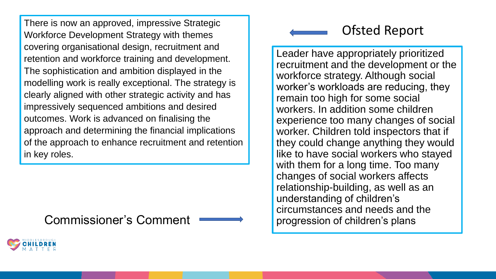There is now an approved, impressive Strategic Workforce Development Strategy with themes covering organisational design, recruitment and retention and workforce training and development. The sophistication and ambition displayed in the modelling work is really exceptional. The strategy is clearly aligned with other strategic activity and has impressively sequenced ambitions and desired outcomes. Work is advanced on finalising the approach and determining the financial implications of the approach to enhance recruitment and retention in key roles.

Commissioner's Comment

### Ofsted Report

Leader have appropriately prioritized recruitment and the development or the workforce strategy. Although social worker's workloads are reducing, they remain too high for some social workers. In addition some children experience too many changes of social worker. Children told inspectors that if they could change anything they would like to have social workers who stayed with them for a long time. Too many changes of social workers affects relationship-building, as well as an understanding of children's circumstances and needs and the progression of children's plans

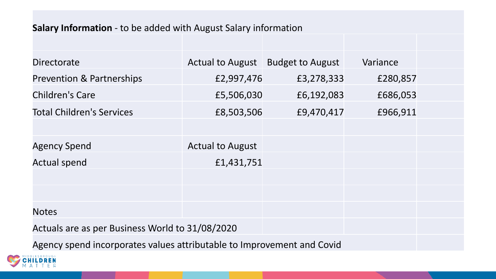#### **Salary Information** - to be added with August Salary information

| <b>Directorate</b>                                                     |                         | Actual to August   Budget to August | Variance |  |  |  |  |
|------------------------------------------------------------------------|-------------------------|-------------------------------------|----------|--|--|--|--|
| <b>Prevention &amp; Partnerships</b>                                   | £2,997,476              | £3,278,333                          | £280,857 |  |  |  |  |
| <b>Children's Care</b>                                                 | £5,506,030              | £6,192,083                          | £686,053 |  |  |  |  |
| <b>Total Children's Services</b>                                       | £8,503,506              | £9,470,417                          | £966,911 |  |  |  |  |
|                                                                        |                         |                                     |          |  |  |  |  |
| <b>Agency Spend</b>                                                    | <b>Actual to August</b> |                                     |          |  |  |  |  |
| <b>Actual spend</b>                                                    | £1,431,751              |                                     |          |  |  |  |  |
|                                                                        |                         |                                     |          |  |  |  |  |
|                                                                        |                         |                                     |          |  |  |  |  |
| <b>Notes</b>                                                           |                         |                                     |          |  |  |  |  |
| Actuals are as per Business World to 31/08/2020                        |                         |                                     |          |  |  |  |  |
| Agency spend incorporates values attributable to Improvement and Covid |                         |                                     |          |  |  |  |  |

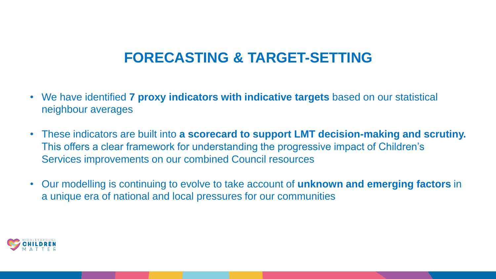## **FORECASTING & TARGET-SETTING**

- We have identified **7 proxy indicators with indicative targets** based on our statistical neighbour averages
- These indicators are built into **a scorecard to support LMT decision-making and scrutiny.**  This offers a clear framework for understanding the progressive impact of Children's Services improvements on our combined Council resources
- Our modelling is continuing to evolve to take account of **unknown and emerging factors** in a unique era of national and local pressures for our communities

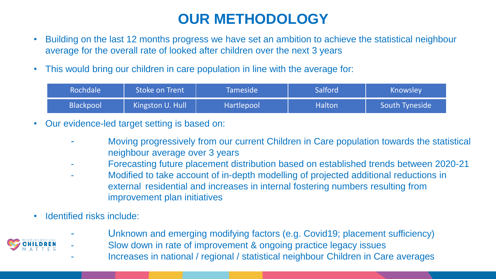## **OUR METHODOLOGY**

- Building on the last 12 months progress we have set an ambition to achieve the statistical neighbour average for the overall rate of looked after children over the next 3 years
- This would bring our children in care population in line with the average for:

| <b>Rochdale</b> | Stoke on Trent   | <b>Tameside</b> | Salford       | Knowsley       |  |
|-----------------|------------------|-----------------|---------------|----------------|--|
| Blackpool       | Kingston U. Hull | Hartlepool      | <b>Halton</b> | South Tyneside |  |

- Our evidence-led target setting is based on:
	- Moving progressively from our current Children in Care population towards the statistical neighbour average over 3 years
	- Forecasting future placement distribution based on established trends between 2020-21
	- Modified to take account of in-depth modelling of projected additional reductions in external residential and increases in internal fostering numbers resulting from improvement plan initiatives
- Identified risks include:
	- Unknown and emerging modifying factors (e.g. Covid19; placement sufficiency)



- Slow down in rate of improvement & ongoing practice legacy issues
- Increases in national / regional / statistical neighbour Children in Care averages